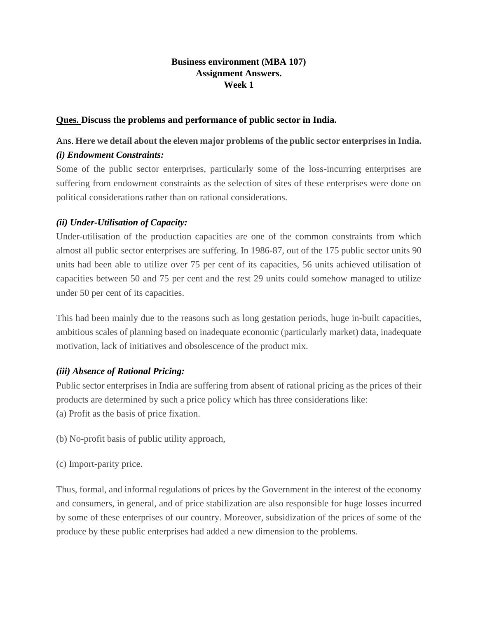# **Business environment (MBA 107) Assignment Answers. Week 1**

# **Ques. Discuss the problems and performance of public sector in India.**

# Ans. **Here we detail about the eleven major problems of the public sector enterprises in India.** *(i) Endowment Constraints:*

Some of the public sector enterprises, particularly some of the loss-incurring enterprises are suffering from endowment constraints as the selection of sites of these enterprises were done on political considerations rather than on rational considerations.

# *(ii) Under-Utilisation of Capacity:*

Under-utilisation of the production capacities are one of the common constraints from which almost all public sector enterprises are suffering. In 1986-87, out of the 175 public sector units 90 units had been able to utilize over 75 per cent of its capacities, 56 units achieved utilisation of capacities between 50 and 75 per cent and the rest 29 units could somehow managed to utilize under 50 per cent of its capacities.

This had been mainly due to the reasons such as long gestation periods, huge in-built capacities, ambitious scales of planning based on inadequate economic (particularly market) data, inadequate motivation, lack of initiatives and obsolescence of the product mix.

# *(iii) Absence of Rational Pricing:*

Public sector enterprises in India are suffering from absent of rational pricing as the prices of their products are determined by such a price policy which has three considerations like: (a) Profit as the basis of price fixation.

(b) No-profit basis of public utility approach,

(c) Import-parity price.

Thus, formal, and informal regulations of prices by the Government in the interest of the economy and consumers, in general, and of price stabilization are also responsible for huge losses incurred by some of these enterprises of our country. Moreover, subsidization of the prices of some of the produce by these public enterprises had added a new dimension to the problems.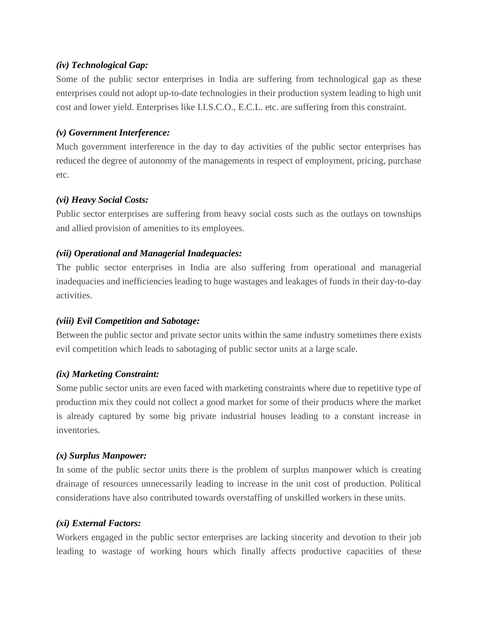# *(iv) Technological Gap:*

Some of the public sector enterprises in India are suffering from technological gap as these enterprises could not adopt up-to-date technologies in their production system leading to high unit cost and lower yield. Enterprises like I.I.S.C.O., E.C.L. etc. are suffering from this constraint.

#### *(v) Government Interference:*

Much government interference in the day to day activities of the public sector enterprises has reduced the degree of autonomy of the managements in respect of employment, pricing, purchase etc.

# *(vi) Heavy Social Costs:*

Public sector enterprises are suffering from heavy social costs such as the outlays on townships and allied provision of amenities to its employees.

# *(vii) Operational and Managerial Inadequacies:*

The public sector enterprises in India are also suffering from operational and managerial inadequacies and inefficiencies leading to huge wastages and leakages of funds in their day-to-day activities.

# *(viii) Evil Competition and Sabotage:*

Between the public sector and private sector units within the same industry sometimes there exists evil competition which leads to sabotaging of public sector units at a large scale.

#### *(ix) Marketing Constraint:*

Some public sector units are even faced with marketing constraints where due to repetitive type of production mix they could not collect a good market for some of their products where the market is already captured by some big private industrial houses leading to a constant increase in inventories.

# *(x) Surplus Manpower:*

In some of the public sector units there is the problem of surplus manpower which is creating drainage of resources unnecessarily leading to increase in the unit cost of production. Political considerations have also contributed towards overstaffing of unskilled workers in these units.

#### *(xi) External Factors:*

Workers engaged in the public sector enterprises are lacking sincerity and devotion to their job leading to wastage of working hours which finally affects productive capacities of these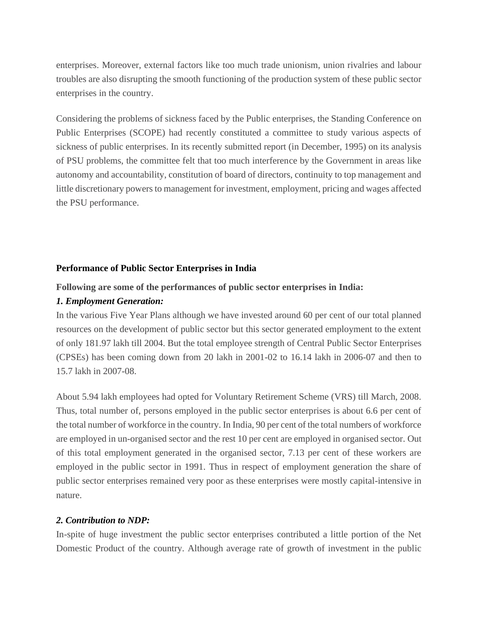enterprises. Moreover, external factors like too much trade unionism, union rivalries and labour troubles are also disrupting the smooth functioning of the production system of these public sector enterprises in the country.

Considering the problems of sickness faced by the Public enterprises, the Standing Conference on Public Enterprises (SCOPE) had recently constituted a committee to study various aspects of sickness of public enterprises. In its recently submitted report (in December, 1995) on its analysis of PSU problems, the committee felt that too much interference by the Government in areas like autonomy and accountability, constitution of board of directors, continuity to top management and little discretionary powers to management for investment, employment, pricing and wages affected the PSU performance.

#### **Performance of Public Sector Enterprises in India**

#### **Following are some of the performances of public sector enterprises in India:**

#### *1. Employment Generation:*

In the various Five Year Plans although we have invested around 60 per cent of our total planned resources on the development of public sector but this sector generated employment to the extent of only 181.97 lakh till 2004. But the total employee strength of Central Public Sector Enterprises (CPSEs) has been coming down from 20 lakh in 2001-02 to 16.14 lakh in 2006-07 and then to 15.7 lakh in 2007-08.

About 5.94 lakh employees had opted for Voluntary Retirement Scheme (VRS) till March, 2008. Thus, total number of, persons employed in the public sector enterprises is about 6.6 per cent of the total number of workforce in the country. In India, 90 per cent of the total numbers of workforce are employed in un-organised sector and the rest 10 per cent are employed in organised sector. Out of this total employment generated in the organised sector, 7.13 per cent of these workers are employed in the public sector in 1991. Thus in respect of employment generation the share of public sector enterprises remained very poor as these enterprises were mostly capital-intensive in nature.

#### *2. Contribution to NDP:*

In-spite of huge investment the public sector enterprises contributed a little portion of the Net Domestic Product of the country. Although average rate of growth of investment in the public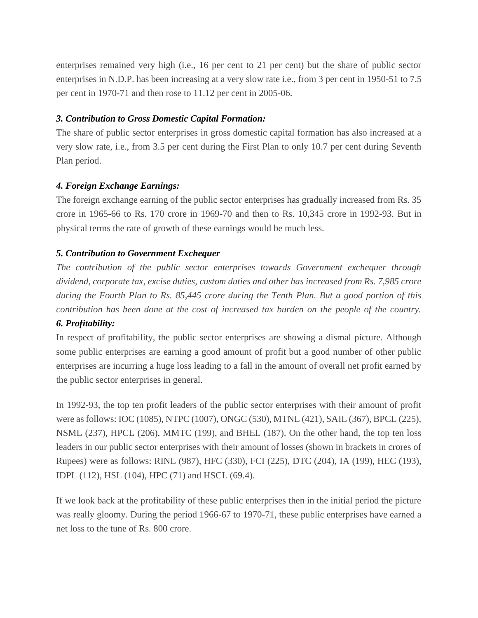enterprises remained very high (i.e., 16 per cent to 21 per cent) but the share of public sector enterprises in N.D.P. has been increasing at a very slow rate i.e., from 3 per cent in 1950-51 to 7.5 per cent in 1970-71 and then rose to 11.12 per cent in 2005-06.

#### *3. Contribution to Gross Domestic Capital Formation:*

The share of public sector enterprises in gross domestic capital formation has also increased at a very slow rate, i.e., from 3.5 per cent during the First Plan to only 10.7 per cent during Seventh Plan period.

#### *4. Foreign Exchange Earnings:*

The foreign exchange earning of the public sector enterprises has gradually increased from Rs. 35 crore in 1965-66 to Rs. 170 crore in 1969-70 and then to Rs. 10,345 crore in 1992-93. But in physical terms the rate of growth of these earnings would be much less.

# *5. Contribution to Government Exchequer*

*The contribution of the public sector enterprises towards Government exchequer through dividend, corporate tax, excise duties, custom duties and other has increased from Rs. 7,985 crore during the Fourth Plan to Rs. 85,445 crore during the Tenth Plan. But a good portion of this contribution has been done at the cost of increased tax burden on the people of the country.*

# *6. Profitability:*

In respect of profitability, the public sector enterprises are showing a dismal picture. Although some public enterprises are earning a good amount of profit but a good number of other public enterprises are incurring a huge loss leading to a fall in the amount of overall net profit earned by the public sector enterprises in general.

In 1992-93, the top ten profit leaders of the public sector enterprises with their amount of profit were as follows: IOC (1085), NTPC (1007), ONGC (530), MTNL (421), SAIL (367), BPCL (225), NSML (237), HPCL (206), MMTC (199), and BHEL (187). On the other hand, the top ten loss leaders in our public sector enterprises with their amount of losses (shown in brackets in crores of Rupees) were as follows: RINL (987), HFC (330), FCI (225), DTC (204), IA (199), HEC (193), IDPL (112), HSL (104), HPC (71) and HSCL (69.4).

If we look back at the profitability of these public enterprises then in the initial period the picture was really gloomy. During the period 1966-67 to 1970-71, these public enterprises have earned a net loss to the tune of Rs. 800 crore.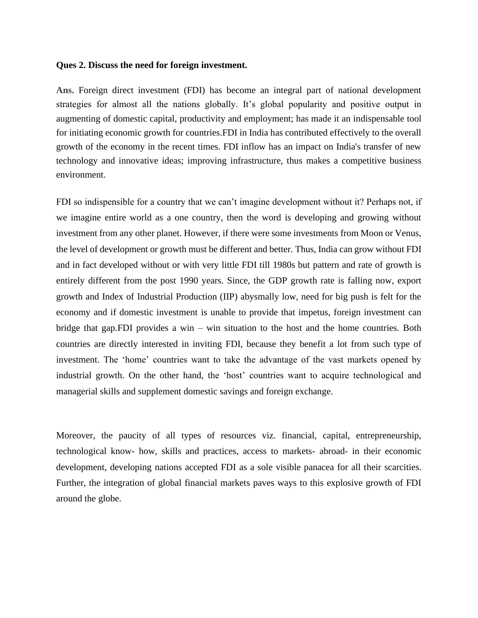#### **Ques 2. Discuss the need for foreign investment.**

**Ans.** Foreign direct investment (FDI) has become an integral part of national development strategies for almost all the nations globally. It's global popularity and positive output in augmenting of domestic capital, productivity and employment; has made it an indispensable tool for initiating economic growth for countries.FDI in India has contributed effectively to the overall growth of the economy in the recent times. FDI inflow has an impact on India's transfer of new technology and innovative ideas; improving infrastructure, thus makes a competitive business environment.

FDI so indispensible for a country that we can't imagine development without it? Perhaps not, if we imagine entire world as a one country, then the word is developing and growing without investment from any other planet. However, if there were some investments from Moon or Venus, the level of development or growth must be different and better. Thus, India can grow without FDI and in fact developed without or with very little FDI till 1980s but pattern and rate of growth is entirely different from the post 1990 years. Since, the GDP growth rate is falling now, export growth and Index of Industrial Production (IIP) abysmally low, need for big push is felt for the economy and if domestic investment is unable to provide that impetus, foreign investment can bridge that gap.FDI provides a win – win situation to the host and the home countries. Both countries are directly interested in inviting FDI, because they benefit a lot from such type of investment. The 'home' countries want to take the advantage of the vast markets opened by industrial growth. On the other hand, the 'host' countries want to acquire technological and managerial skills and supplement domestic savings and foreign exchange.

Moreover, the paucity of all types of resources viz. financial, capital, entrepreneurship, technological know- how, skills and practices, access to markets- abroad- in their economic development, developing nations accepted FDI as a sole visible panacea for all their scarcities. Further, the integration of global financial markets paves ways to this explosive growth of FDI around the globe.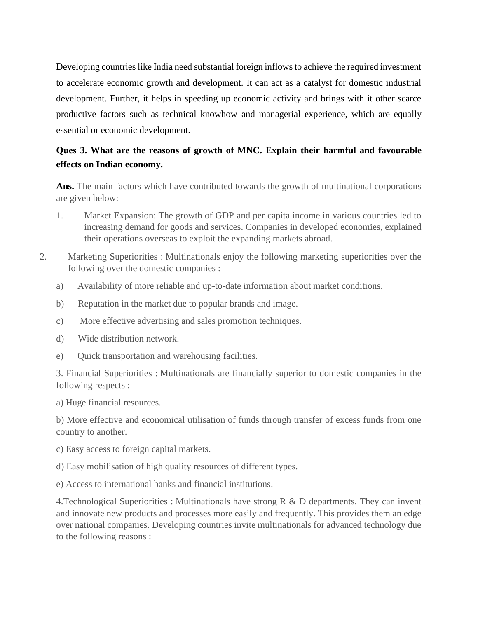Developing countries like India need substantial foreign inflows to achieve the required investment to accelerate economic growth and development. It can act as a catalyst for domestic industrial development. Further, it helps in speeding up economic activity and brings with it other scarce productive factors such as technical knowhow and managerial experience, which are equally essential or economic development.

# **Ques 3. What are the reasons of growth of MNC. Explain their harmful and favourable effects on Indian economy.**

Ans. The main factors which have contributed towards the growth of multinational corporations are given below:

- 1. Market Expansion: The growth of GDP and per capita income in various countries led to increasing demand for goods and services. Companies in developed economies, explained their operations overseas to exploit the expanding markets abroad.
- 2. Marketing Superiorities : Multinationals enjoy the following marketing superiorities over the following over the domestic companies :
	- a) Availability of more reliable and up-to-date information about market conditions.
	- b) Reputation in the market due to popular brands and image.
	- c) More effective advertising and sales promotion techniques.
	- d) Wide distribution network.
	- e) Quick transportation and warehousing facilities.

3. Financial Superiorities : Multinationals are financially superior to domestic companies in the following respects :

a) Huge financial resources.

b) More effective and economical utilisation of funds through transfer of excess funds from one country to another.

- c) Easy access to foreign capital markets.
- d) Easy mobilisation of high quality resources of different types.

e) Access to international banks and financial institutions.

4. Technological Superiorities : Multinationals have strong  $R \& D$  departments. They can invent and innovate new products and processes more easily and frequently. This provides them an edge over national companies. Developing countries invite multinationals for advanced technology due to the following reasons :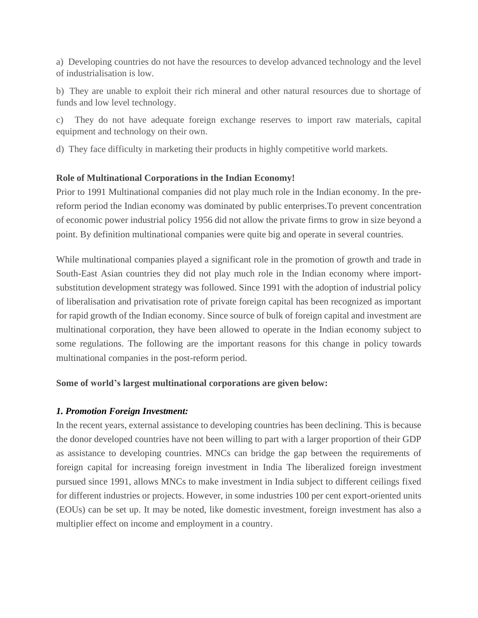a) Developing countries do not have the resources to develop advanced technology and the level of industrialisation is low.

b) They are unable to exploit their rich mineral and other natural resources due to shortage of funds and low level technology.

c) They do not have adequate foreign exchange reserves to import raw materials, capital equipment and technology on their own.

d) They face difficulty in marketing their products in highly competitive world markets.

# **Role of Multinational Corporations in the Indian Economy!**

Prior to 1991 Multinational companies did not play much role in the Indian economy. In the prereform period the Indian economy was dominated by public enterprises.To prevent concentration of economic power industrial policy 1956 did not allow the private firms to grow in size beyond a point. By definition multinational companies were quite big and operate in several countries.

While multinational companies played a significant role in the promotion of growth and trade in South-East Asian countries they did not play much role in the Indian economy where importsubstitution development strategy was followed. Since 1991 with the adoption of industrial policy of liberalisation and privatisation rote of private foreign capital has been recognized as important for rapid growth of the Indian economy. Since source of bulk of foreign capital and investment are multinational corporation, they have been allowed to operate in the Indian economy subject to some regulations. The following are the important reasons for this change in policy towards multinational companies in the post-reform period.

# **Some of world's largest multinational corporations are given below:**

# *1. Promotion Foreign Investment:*

In the recent years, external assistance to developing countries has been declining. This is because the donor developed countries have not been willing to part with a larger proportion of their GDP as assistance to developing countries. MNCs can bridge the gap between the requirements of foreign capital for increasing foreign investment in India The liberalized foreign investment pursued since 1991, allows MNCs to make investment in India subject to different ceilings fixed for different industries or projects. However, in some industries 100 per cent export-oriented units (EOUs) can be set up. It may be noted, like domestic investment, foreign investment has also a multiplier effect on income and employment in a country.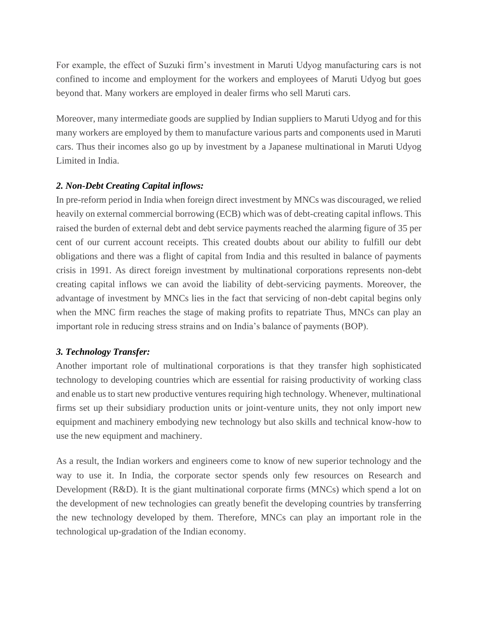For example, the effect of Suzuki firm's investment in Maruti Udyog manufacturing cars is not confined to income and employment for the workers and employees of Maruti Udyog but goes beyond that. Many workers are employed in dealer firms who sell Maruti cars.

Moreover, many intermediate goods are supplied by Indian suppliers to Maruti Udyog and for this many workers are employed by them to manufacture various parts and components used in Maruti cars. Thus their incomes also go up by investment by a Japanese multinational in Maruti Udyog Limited in India.

# *2. Non-Debt Creating Capital inflows:*

In pre-reform period in India when foreign direct investment by MNCs was discouraged, we relied heavily on external commercial borrowing (ECB) which was of debt-creating capital inflows. This raised the burden of external debt and debt service payments reached the alarming figure of 35 per cent of our current account receipts. This created doubts about our ability to fulfill our debt obligations and there was a flight of capital from India and this resulted in balance of payments crisis in 1991. As direct foreign investment by multinational corporations represents non-debt creating capital inflows we can avoid the liability of debt-servicing payments. Moreover, the advantage of investment by MNCs lies in the fact that servicing of non-debt capital begins only when the MNC firm reaches the stage of making profits to repatriate Thus, MNCs can play an important role in reducing stress strains and on India's balance of payments (BOP).

# *3. Technology Transfer:*

Another important role of multinational corporations is that they transfer high sophisticated technology to developing countries which are essential for raising productivity of working class and enable us to start new productive ventures requiring high technology. Whenever, multinational firms set up their subsidiary production units or joint-venture units, they not only import new equipment and machinery embodying new technology but also skills and technical know-how to use the new equipment and machinery.

As a result, the Indian workers and engineers come to know of new superior technology and the way to use it. In India, the corporate sector spends only few resources on Research and Development (R&D). It is the giant multinational corporate firms (MNCs) which spend a lot on the development of new technologies can greatly benefit the developing countries by transferring the new technology developed by them. Therefore, MNCs can play an important role in the technological up-gradation of the Indian economy.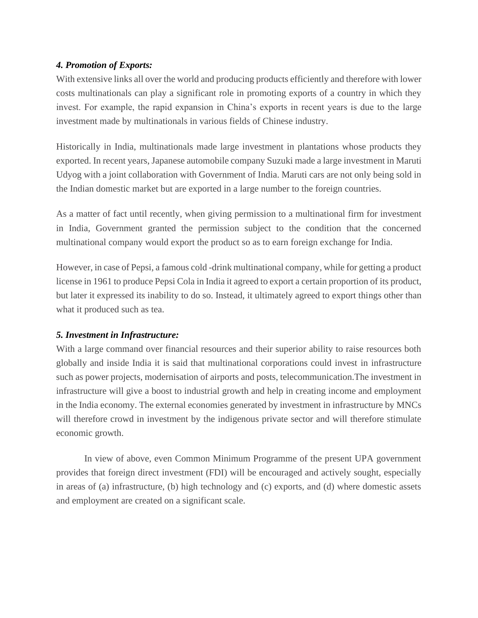# *4. Promotion of Exports:*

With extensive links all over the world and producing products efficiently and therefore with lower costs multinationals can play a significant role in promoting exports of a country in which they invest. For example, the rapid expansion in China's exports in recent years is due to the large investment made by multinationals in various fields of Chinese industry.

Historically in India, multinationals made large investment in plantations whose products they exported. In recent years, Japanese automobile company Suzuki made a large investment in Maruti Udyog with a joint collaboration with Government of India. Maruti cars are not only being sold in the Indian domestic market but are exported in a large number to the foreign countries.

As a matter of fact until recently, when giving permission to a multinational firm for investment in India, Government granted the permission subject to the condition that the concerned multinational company would export the product so as to earn foreign exchange for India.

However, in case of Pepsi, a famous cold -drink multinational company, while for getting a product license in 1961 to produce Pepsi Cola in India it agreed to export a certain proportion of its product, but later it expressed its inability to do so. Instead, it ultimately agreed to export things other than what it produced such as tea.

# *5. Investment in Infrastructure:*

With a large command over financial resources and their superior ability to raise resources both globally and inside India it is said that multinational corporations could invest in infrastructure such as power projects, modernisation of airports and posts, telecommunication.The investment in infrastructure will give a boost to industrial growth and help in creating income and employment in the India economy. The external economies generated by investment in infrastructure by MNCs will therefore crowd in investment by the indigenous private sector and will therefore stimulate economic growth.

In view of above, even Common Minimum Programme of the present UPA government provides that foreign direct investment (FDI) will be encouraged and actively sought, especially in areas of (a) infrastructure, (b) high technology and (c) exports, and (d) where domestic assets and employment are created on a significant scale.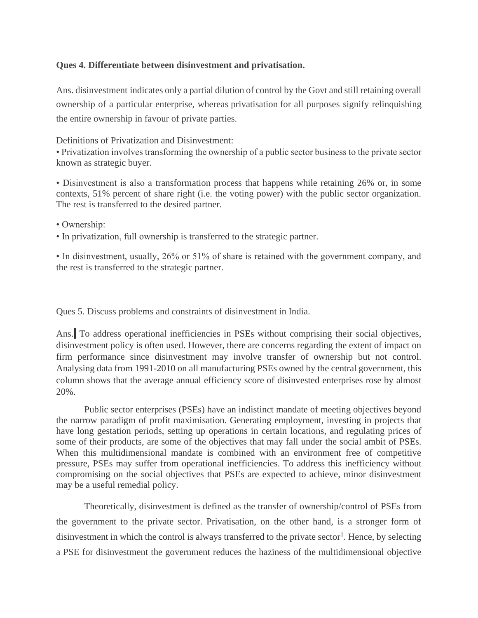#### **Ques 4. Differentiate between disinvestment and privatisation.**

Ans. disinvestment indicates only a partial dilution of control by the Govt and still retaining overall ownership of a particular enterprise, whereas privatisation for all purposes signify relinquishing the entire ownership in favour of private parties.

Definitions of Privatization and Disinvestment:

• Privatization involves transforming the ownership of a public sector business to the private sector known as strategic buyer.

• Disinvestment is also a transformation process that happens while retaining 26% or, in some contexts, 51% percent of share right (i.e. the voting power) with the public sector organization. The rest is transferred to the desired partner.

• Ownership:

• In privatization, full ownership is transferred to the strategic partner.

• In disinvestment, usually, 26% or 51% of share is retained with the government company, and the rest is transferred to the strategic partner.

Ques 5. Discuss problems and constraints of disinvestment in India.

Ans. To address operational inefficiencies in PSEs without comprising their social objectives, disinvestment policy is often used. However, there are concerns regarding the extent of impact on firm performance since disinvestment may involve transfer of ownership but not control. Analysing data from 1991-2010 on all manufacturing PSEs owned by the central government, this column shows that the average annual efficiency score of disinvested enterprises rose by almost 20%.

Public sector enterprises (PSEs) have an indistinct mandate of meeting objectives beyond the narrow paradigm of profit maximisation. Generating employment, investing in projects that have long gestation periods, setting up operations in certain locations, and regulating prices of some of their products, are some of the objectives that may fall under the social ambit of PSEs. When this multidimensional mandate is combined with an environment free of competitive pressure, PSEs may suffer from operational inefficiencies. To address this inefficiency without compromising on the social objectives that PSEs are expected to achieve, minor disinvestment may be a useful remedial policy.

Theoretically, disinvestment is defined as the transfer of ownership/control of PSEs from the government to the private sector. Privatisation, on the other hand, is a stronger form of disinvestment in which the control is always transferred to the private sector<sup>1</sup>. Hence, by selecting a PSE for disinvestment the government reduces the haziness of the multidimensional objective